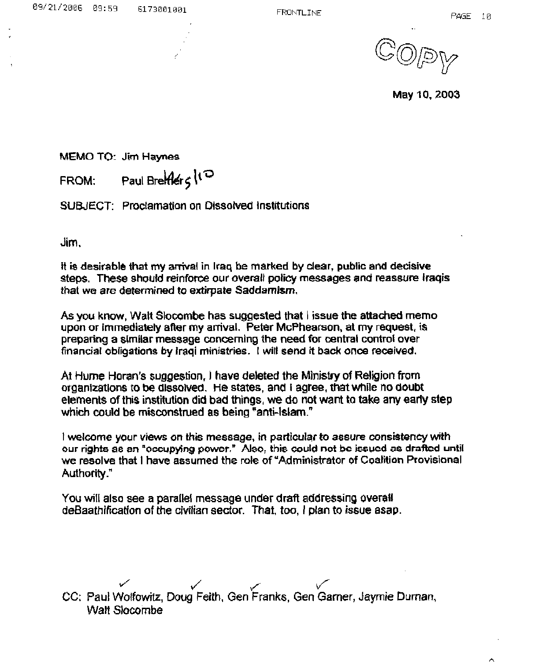FRONTLINE PAGE **10** 

**May 10,2003** 

**MEMO TO: Jim Haynes** 

 $FROM:$  Paul Brekler  $\sqrt{P}$ 

SUBJECT: Proclamation on Dissolved Institutions

**Jim,** 

It is desirable that mv arrival in Iraa be marked bv clear. oublic and decisive steps. These should reinforce ouroverall **messages** and **reassure** Iraqis *that* **we** *are* determined to extirpate Saddamism,

As you know, Walt Slocombe has suggested that I issue the attached memo upon or immediately after my arrival. Peter McPhearson, at my request, is preparing a similar message concerning the need for central control over financial obligations by Iraqi **ministries.** I will **send** it **back once received.** 

At Hume Horan's suggestion, I have deleted the Ministry of Religion from organizations to be dissolved. He states, **and** 1 **agree, that** Wile no doubt elements of this institution did **bad** things, we do not want to take any early step which could **be** misconstrued as being "anti-Islam."

**<sup>I</sup>**welcome your views **on this** message, **in** particular **to** assure consistency **with our rights** as **an** "occupying power." *Also,* this **could** not be issued as drafted until we resolve that I have assumed the role of "Administrator of Coalition Provisional Authority."

You will also see a parallel message under draft addressing overall deBaathification of the civilian sector. That, too, I plan to issue asap.

!/' I/ **v'** ^ CC: **Paul** Wolfowitz, **Doug** Feith, Gen Franks, Gen **Gamer,** Jaymie **Duman,**  Walt **Slocombe**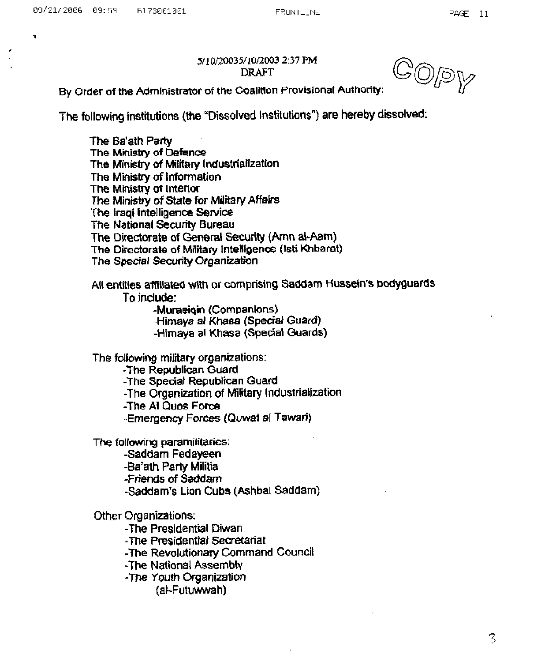## **5/10/20035/10/2003 237 PM**  DRAFT

 $\mathbb{C} \mathbb{O}$ py

**By Order of the Administrator of the Coalition Provisional Authority:** 

The following institutions (the "Dissolved Institutions") are hereby dissolved:

**The Ba'ath Party The Ministry of Defence The Ministry of Military Industrialization The Ministry of Information The Ministry of Interior The Ministry of State for Military Affairs The Iraqi Intelligence Service The National Security Bureau**  The Directorate of General Security (Amn al-Aam) **The Directorate of Military Intelligence (leti KhbaraQ The Special Security Organization** 

**Alt entitles affiliated with or comprising Saddam Hussein's bodyguards To include:** 

**-Muraeiain (Companions)** 

**Himaya a1 Khasa (Special Guard) -Himaya al Khasa (Special Guards)** 

**The following military organizations:** 

**-The Republican Guard** 

**-The Special Republican Guard** 

**-The Organization of Military Industrialization** 

**-The Al Quos Force** 

**Emergency Forces (Quwal al Tawari)** 

**The following paramilitaries:** 

**-Saddarn Fedayeen** 

**-BaYath Party Militia** 

**-Friends of Saddam** 

**-Saddam's Lion Cubs (Ashbal Saddam)** 

Other **Organizations:** 

**-The Presidential Diwan** 

he **Presidential Secretariat** 

**-The Revolutionary Command Council** 

**-The National Assembly** 

**-The Youth Organization** 

**(at-Futuwwah)**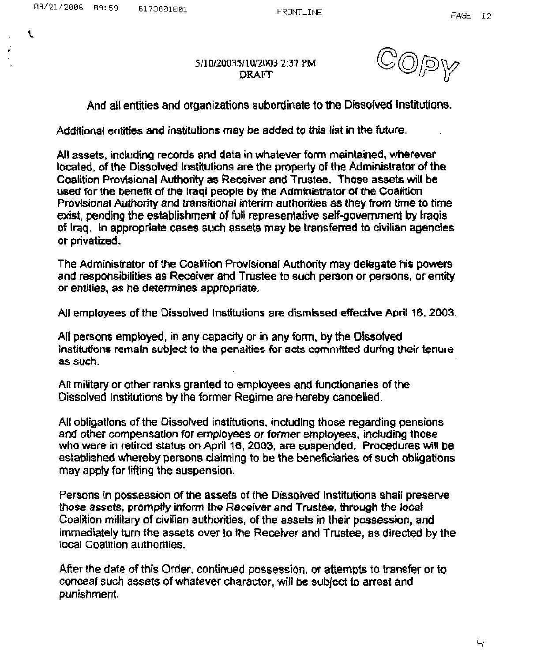

From  $\mathcal{L}_1$ 

And all entities and organizations subordinate to the Dissolved Institutions.

Additional entities and institutions may be **added** to this list in the future.

L

All assets, including records and data in whatever form maintained, wherever located, of the Dissolved Institutions are the property of the Administrator of the Coalition Provisional Authority as Receiver and Trustee. Those assets will be **used** for the benefit of the Iraqi people by me Administrator of **me** Coalition Provisional Authority and transitional interim authorities as **they** from time to time exist, pending the establishment of full representative self-government by Iraqis of Iraq. In appropriate cases such assets **may** be transferred to civilian agencies or privatized.

The Administrator of the Coalition Provisional Authority may delegate his powers and responsibilities as Receiver and Trustee to such person or persons, or entity or entities, as he determines appropriate.

All employees of the Dissolved Institutions are dismissed effective April 16,2003.

All persons employed, in any capacity or in any form, by the Dissolved Institutions remain **subject** to the penalties for acts committed during their tenure as such.

All military or other **ranks** granted to employees and functionaries of the Dissolved Institutions by the former Regime are hereby cancelled.

All obligations of the Dissolved institutions, including those regarding pensions and other compensation for employees or former employees, including those who were in retired status on **April 16,** 2003, **are suspended.** Procedures will **be**  established whereby persons claiming to be the beneficiaries of **such** obligations may apply for lifting the suspension.

Persons in possession of the assets of the Dissolved Institutions shall preserve those assets, promptly inform the Receiver and Trustee, through **the** local Coalition military of civilian authorities, of the assets in their possession, and immediately turn the assets over to the Receiver and Trustee, as directed by the local Coalition authorities.

After the date of this Order, continued possession, or attempts to transfer or to conceal such assets of whatever character, will be subject to **arrest** and punishment.